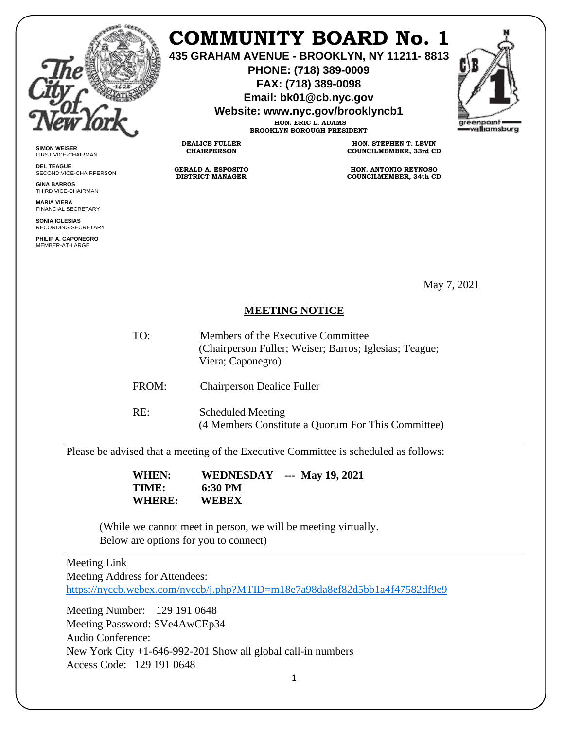

**SIMON WEISER** FIRST VICE-CHAIRMAN **DEL TEAGUE**

**GINA BARROS** THIRD VICE-CHAIRMAN **MARIA VIERA** FINANCIAL SECRETARY **SONIA IGLESIAS** RECORDING SECRETARY **PHILIP A. CAPONEGRO** MEMBER-AT-LARGE

SECOND VICE-CHAIRPERSON

## **COMMUNITY BOARD No. 1**

**435 GRAHAM AVENUE - BROOKLYN, NY 11211- 8813**

**PHONE: (718) 389-0009 FAX: (718) 389-0098**

**Email: bk01@cb.nyc.gov**

**Website: www.nyc.gov/brooklyncb1**

**HON. ERIC L. ADAMS BROOKLYN BOROUGH PRESIDENT**

**DEALICE FULLER CHAIRPERSON**

**GERALD A. ESPOSITO DISTRICT MANAGER**

**HON. STEPHEN T. LEVIN COUNCILMEMBER, 33rd CD**

**HON. ANTONIO REYNOSO COUNCILMEMBER, 34th CD**

May 7, 2021

## **MEETING NOTICE**

TO: Members of the Executive Committee (Chairperson Fuller; Weiser; Barros; Iglesias; Teague; Viera; Caponegro) FROM: Chairperson Dealice Fuller RE: Scheduled Meeting (4 Members Constitute a Quorum For This Committee)

Please be advised that a meeting of the Executive Committee is scheduled as follows:

 **WHEN: WEDNESDAY --- May 19, 2021 TIME:** 6:30 PM<br>WHERE: WEBEX **WHERE:** 

(While we cannot meet in person, we will be meeting virtually. Below are options for you to connect)

## Meeting Link

Meeting Address for Attendees:

<https://nyccb.webex.com/nyccb/j.php?MTID=m18e7a98da8ef82d5bb1a4f47582df9e9>

Meeting Number: 129 191 0648 Meeting Password: SVe4AwCEp34 Audio Conference: New York City +1-646-992-201 Show all global call-in numbers Access Code: 129 191 0648